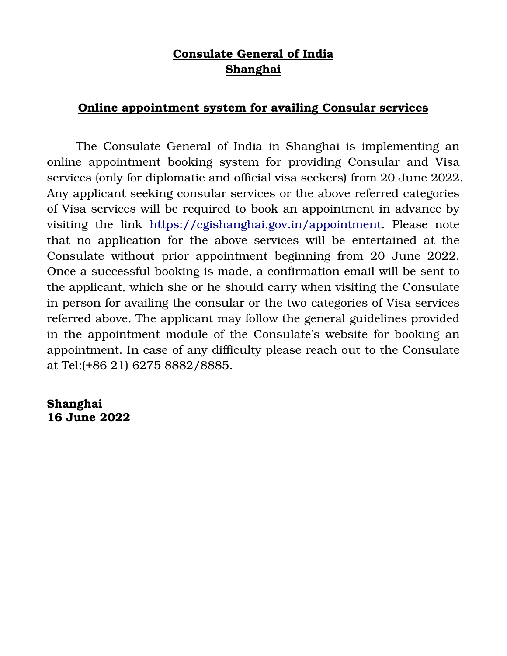## Consulate General of India Shanghai

## Online appointment system for availing Consular services

 The Consulate General of India in Shanghai is implementing an online appointment booking system for providing Consular and Visa services (only for diplomatic and official visa seekers) from 20 June 2022. Any applicant seeking consular services or the above referred categories of Visa services will be required to book an appointment in advance by visiting the link https://cgishanghai.gov.in/appointment. Please note that no application for the above services will be entertained at the Consulate without prior appointment beginning from 20 June 2022. Once a successful booking is made, a confirmation email will be sent to the applicant, which she or he should carry when visiting the Consulate in person for availing the consular or the two categories of Visa services referred above. The applicant may follow the general guidelines provided in the appointment module of the Consulate's website for booking an appointment. In case of any difficulty please reach out to the Consulate at Tel:(+86 21) 6275 8882/8885.

Shanghai 16 June 2022